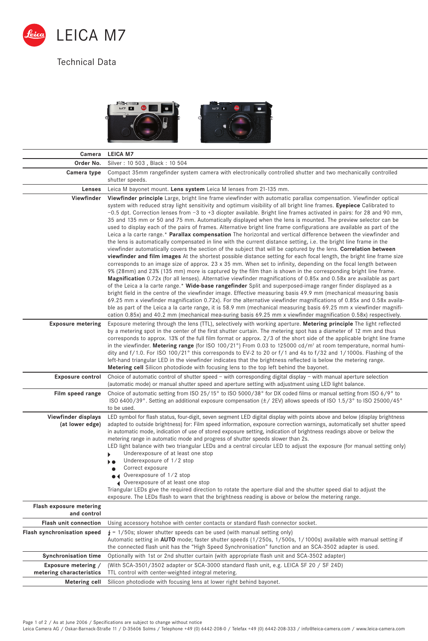

## Technical Data



| Camera                                          | <b>LEICA M7</b>                                                                                                                                                                                                                                                                                                                                                                                                                                                                                                                                                                                                                                                                                                                                                                                                                                                                                                                                                                                                                                                                                                                                                                                                                                                                                                                                                                                                                                                                                                                                                                                                                                                                                                                                                                                                                                                                                                                                                                                                                                                                      |
|-------------------------------------------------|--------------------------------------------------------------------------------------------------------------------------------------------------------------------------------------------------------------------------------------------------------------------------------------------------------------------------------------------------------------------------------------------------------------------------------------------------------------------------------------------------------------------------------------------------------------------------------------------------------------------------------------------------------------------------------------------------------------------------------------------------------------------------------------------------------------------------------------------------------------------------------------------------------------------------------------------------------------------------------------------------------------------------------------------------------------------------------------------------------------------------------------------------------------------------------------------------------------------------------------------------------------------------------------------------------------------------------------------------------------------------------------------------------------------------------------------------------------------------------------------------------------------------------------------------------------------------------------------------------------------------------------------------------------------------------------------------------------------------------------------------------------------------------------------------------------------------------------------------------------------------------------------------------------------------------------------------------------------------------------------------------------------------------------------------------------------------------------|
| Order No.                                       | Silver: 10 503, Black: 10 504                                                                                                                                                                                                                                                                                                                                                                                                                                                                                                                                                                                                                                                                                                                                                                                                                                                                                                                                                                                                                                                                                                                                                                                                                                                                                                                                                                                                                                                                                                                                                                                                                                                                                                                                                                                                                                                                                                                                                                                                                                                        |
| Camera type                                     | Compact 35mm rangefinder system camera with electronically controlled shutter and two mechanically controlled<br>shutter speeds.                                                                                                                                                                                                                                                                                                                                                                                                                                                                                                                                                                                                                                                                                                                                                                                                                                                                                                                                                                                                                                                                                                                                                                                                                                                                                                                                                                                                                                                                                                                                                                                                                                                                                                                                                                                                                                                                                                                                                     |
| Lenses                                          | Leica M bayonet mount. Lens system Leica M lenses from 21-135 mm.                                                                                                                                                                                                                                                                                                                                                                                                                                                                                                                                                                                                                                                                                                                                                                                                                                                                                                                                                                                                                                                                                                                                                                                                                                                                                                                                                                                                                                                                                                                                                                                                                                                                                                                                                                                                                                                                                                                                                                                                                    |
| Viewfinder                                      | Viewfinder principle Large, bright line frame viewfinder with automatic parallax compensation. Viewfinder optical<br>system with reduced stray light sensitivity and optimum visibility of all bright line frames. Eyepiece Calibrated to<br>$-0.5$ dpt. Correction lenses from $-3$ to +3 diopter available. Bright line frames activated in pairs: for 28 and 90 mm,<br>35 and 135 mm or 50 and 75 mm. Automatically displayed when the lens is mounted. The preview selector can be<br>used to display each of the pairs of frames. Alternative bright line frame configurations are available as part of the<br>Leica a la carte range.* Parallax compensation The horizontal and vertical difference between the viewfinder and<br>the lens is automatically compensated in line with the current distance setting, i.e. the bright line frame in the<br>viewfinder automatically covers the section of the subject that will be captured by the lens. Correlation between<br>viewfinder and film images At the shortest possible distance setting for each focal length, the bright line frame size<br>corresponds to an image size of approx. 23 x 35 mm. When set to infinity, depending on the focal length between<br>9% (28mm) and 23% (135 mm) more is captured by the film than is shown in the corresponding bright line frame.<br><b>Magnification</b> 0.72x (for all lenses). Alternative viewfinder magnifications of 0.85x and 0.58x are available as part<br>of the Leica a la carte range.* Wide-base rangefinder Split and superposed-image ranger finder displayed as a<br>bright field in the centre of the viewfinder image. Effective measuring basis 49.9 mm (mechanical measuring basis<br>69.25 mm x viewfinder magnification 0.72x). For the alternative viewfinder magnifications of 0.85x and 0.58x availa-<br>ble as part of the Leica a la carte range, it is 58.9 mm (mechanical measuring basis 69.25 mm x viewfinder magnifi-<br>cation 0.85x) and 40.2 mm (mechanical mea-suring basis 69.25 mm x viewfinder magnification 0.58x) respectively. |
| <b>Exposure metering</b>                        | Exposure metering through the lens (TTL), selectively with working aperture. Metering principle The light reflected<br>by a metering spot in the center of the first shutter curtain. The metering spot has a diameter of 12 mm and thus<br>corresponds to approx. 13% of the full film format or approx. 2/3 of the short side of the applicable bright line frame<br>in the viewfinder. Metering range (for ISO 100/21°) From 0.03 to 125000 cd/m <sup>2</sup> at room temperature, normal humi-<br>dity and $f/1.0$ . For ISO 100/21° this corresponds to EV-2 to 20 or $f/1$ and 4s to $f/32$ and $1/1000$ s. Flashing of the<br>left-hand triangular LED in the viewfinder indicates that the brightness reflected is below the metering range.<br><b>Metering cell</b> Silicon photodiode with focusing lens to the top left behind the bayonet.                                                                                                                                                                                                                                                                                                                                                                                                                                                                                                                                                                                                                                                                                                                                                                                                                                                                                                                                                                                                                                                                                                                                                                                                                               |
| <b>Exposure control</b>                         | Choice of automatic control of shutter speed $-$ with corresponding digital display $-$ with manual aperture selection<br>(automatic mode) or manual shutter speed and aperture setting with adjustment using LED light balance.                                                                                                                                                                                                                                                                                                                                                                                                                                                                                                                                                                                                                                                                                                                                                                                                                                                                                                                                                                                                                                                                                                                                                                                                                                                                                                                                                                                                                                                                                                                                                                                                                                                                                                                                                                                                                                                     |
| Film speed range                                | Choice of automatic setting from ISO 25/15° to ISO 5000/38° for DX coded films or manual setting from ISO 6/9° to<br>ISO 6400/39°. Setting an additional exposure compensation ( $\pm$ /2EV) allows speeds of ISO 1.5/3° to ISO 25000/45°<br>to be used.                                                                                                                                                                                                                                                                                                                                                                                                                                                                                                                                                                                                                                                                                                                                                                                                                                                                                                                                                                                                                                                                                                                                                                                                                                                                                                                                                                                                                                                                                                                                                                                                                                                                                                                                                                                                                             |
| Viewfinder displays<br>(at lower edge)          | LED symbol for flash status, four-digit, seven segment LED digital display with points above and below (display brightness<br>adapted to outside brightness) for: Film speed information, exposure correction warnings, automatically set shutter speed<br>in automatic mode, indication of use of stored exposure setting, indication of brightness readings above or below the<br>metering range in automatic mode and progress of shutter speeds slower than 2s.<br>LED light balance with two triangular LEDs and a central circular LED to adjust the exposure (for manual setting only)<br>Underexposure of at least one stop<br>Underexposure of 1/2 stop<br>Correct exposure<br>Overexposure of 1/2 stop<br>◀ Overexposure of at least one stop<br>Triangular LEDs give the required direction to rotate the aperture dial and the shutter speed dial to adjust the<br>exposure. The LEDs flash to warn that the brightness reading is above or below the metering range.                                                                                                                                                                                                                                                                                                                                                                                                                                                                                                                                                                                                                                                                                                                                                                                                                                                                                                                                                                                                                                                                                                    |
| Flash exposure metering<br>and control          |                                                                                                                                                                                                                                                                                                                                                                                                                                                                                                                                                                                                                                                                                                                                                                                                                                                                                                                                                                                                                                                                                                                                                                                                                                                                                                                                                                                                                                                                                                                                                                                                                                                                                                                                                                                                                                                                                                                                                                                                                                                                                      |
| <b>Flash unit connection</b>                    | Using accessory hotshoe with center contacts or standard flash connector socket.                                                                                                                                                                                                                                                                                                                                                                                                                                                                                                                                                                                                                                                                                                                                                                                                                                                                                                                                                                                                                                                                                                                                                                                                                                                                                                                                                                                                                                                                                                                                                                                                                                                                                                                                                                                                                                                                                                                                                                                                     |
| <b>Flash synchronisation speed</b>              | $\frac{1}{4}$ = 1/50s; slower shutter speeds can be used (with manual setting only)<br>Automatic setting in AUTO mode; faster shutter speeds (1/250s, 1/500s, 1/1000s) available with manual setting if<br>the connected flash unit has the "High Speed Synchronisation" function and an SCA-3502 adapter is used.                                                                                                                                                                                                                                                                                                                                                                                                                                                                                                                                                                                                                                                                                                                                                                                                                                                                                                                                                                                                                                                                                                                                                                                                                                                                                                                                                                                                                                                                                                                                                                                                                                                                                                                                                                   |
| <b>Synchronisation time</b>                     | Optionally with 1st or 2nd shutter curtain (with appropriate flash unit and SCA-3502 adapter)                                                                                                                                                                                                                                                                                                                                                                                                                                                                                                                                                                                                                                                                                                                                                                                                                                                                                                                                                                                                                                                                                                                                                                                                                                                                                                                                                                                                                                                                                                                                                                                                                                                                                                                                                                                                                                                                                                                                                                                        |
| Exposure metering /<br>metering characteristics | (With SCA-3501/3502 adapter or SCA-3000 standard flash unit, e.g. LEICA SF 20 / SF 24D)<br>TTL control with center-weighted integral metering.                                                                                                                                                                                                                                                                                                                                                                                                                                                                                                                                                                                                                                                                                                                                                                                                                                                                                                                                                                                                                                                                                                                                                                                                                                                                                                                                                                                                                                                                                                                                                                                                                                                                                                                                                                                                                                                                                                                                       |
| Metering cell                                   | Silicon photodiode with focusing lens at lower right behind bayonet.                                                                                                                                                                                                                                                                                                                                                                                                                                                                                                                                                                                                                                                                                                                                                                                                                                                                                                                                                                                                                                                                                                                                                                                                                                                                                                                                                                                                                                                                                                                                                                                                                                                                                                                                                                                                                                                                                                                                                                                                                 |

Page 1 of 2 / As at June 2006 / Specifications are subject to change without notice<br>Leica Camera AG / Oskar-Barnack-Straße 11 / D-35606 Solms / Telephone +49 (0) 6442-208-0 / Telefax +49 (0) 6442-208-333 / info@leica-camer